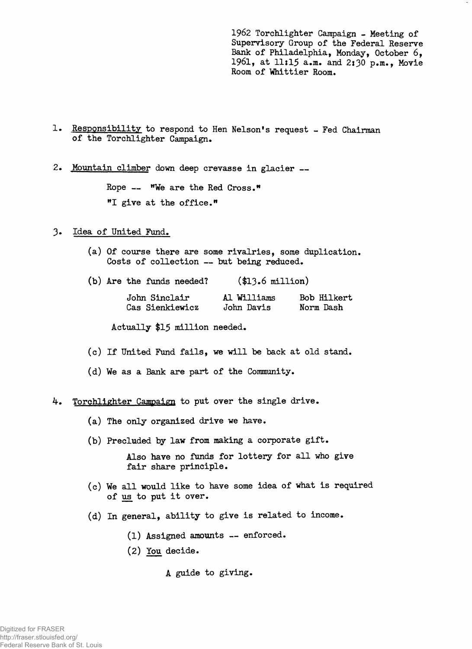**1962 Torchlighter Campaign - Meeting of Supervisory Group of the Federal Reserve Bank of Philadelphia, Monday, October 6, 1961, at llil5 a.m. and 2:30 p.m., Movie** Room of Whittier Room.

- 1. Responsibility to respond to Hen Nelson's request Fed Chairman **of the Torchlighter Campaign.**
- **Mountain climber down deep crevasse in glacier —**

**Rope — "We are the Red Cross.H "I give at the office."**

- **Idea of United Fund.**
	- **(a) Of course there are some rivalries, some duplication. Costs of collection — but being reduced.**

|  |  |  |  | (b) Are the funds needed? |  |  | (\$13.6 million) |  |
|--|--|--|--|---------------------------|--|--|------------------|--|
|--|--|--|--|---------------------------|--|--|------------------|--|

| John Sinclair   | Al Williams | Bob Hilkert |
|-----------------|-------------|-------------|
| Cas Sienkiewicz | John Davis  | Norm Dash   |

**Actually \$15 million needed.**

- **(c) If United Fund fails, we will be back at old stand.**
- **(d) We as a Bank are part of the Community.**

## 4. **Torchlighter Campaign to put over the single drive.**

- **(a) The only organized drive we have.**
- **(b) Precluded by law from making a corporate gift.**

**Also have no funds for lottery for all who give fair share principle.**

- **(c) We all would like to have some idea of what is required of us to put it over.**
- **(d) In general, ability to give is related to income.**
	- **(1) Assigned amounts enforced.**
	- **(2) You decide.**
		- **A guide to giving.**